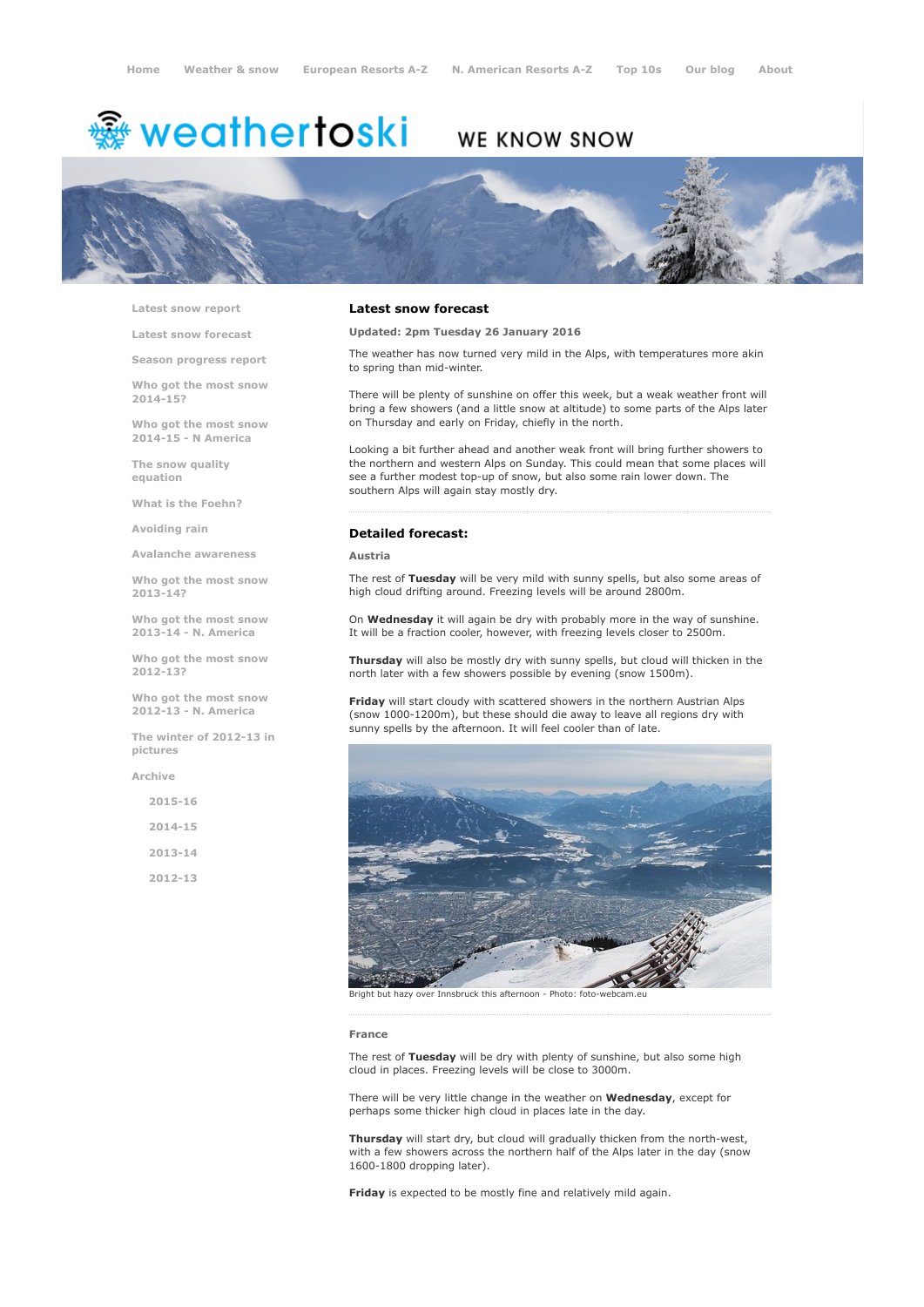# <sup>鑫</sup> weathertoski

# WE KNOW SNOW



Latest snow [report](http://www.weathertoski.co.uk/weather-snow/latest-snow-report/)

Latest snow [forecast](http://www.weathertoski.co.uk/weather-snow/latest-snow-forecast/)

Season [progress](http://www.weathertoski.co.uk/weather-snow/season-progress-report/) report

Who got the most snow 2014-15?

Who got the most snow 2014-15 - N America

The snow quality [equation](http://www.weathertoski.co.uk/weather-snow/the-snow-quality-equation/)

What is the [Foehn?](http://www.weathertoski.co.uk/weather-snow/what-is-the-foehn/)

[Avoiding](http://www.weathertoski.co.uk/weather-snow/avoiding-rain/) rain

Avalanche [awareness](http://www.weathertoski.co.uk/weather-snow/avalanche-awareness/)

Who got the most snow 2013-14?

Who got the most snow 2013-14 - N. America

Who got the most snow 2012-13?

Who got the most snow 2012-13 - N. America

The winter of 2012-13 in pictures

[Archive](http://www.weathertoski.co.uk/weather-snow/archive/)

2015-16 2014-15 2013-14 2012-13

Latest snow forecast

Updated: 2pm Tuesday 26 January 2016

The weather has now turned very mild in the Alps, with temperatures more akin to spring than mid-winter.

There will be plenty of sunshine on offer this week, but a weak weather front will bring a few showers (and a little snow at altitude) to some parts of the Alps later on Thursday and early on Friday, chiefly in the north.

Looking a bit further ahead and another weak front will bring further showers to the northern and western Alps on Sunday. This could mean that some places will see a further modest top-up of snow, but also some rain lower down. The southern Alps will again stay mostly dry.

## Detailed forecast:

Austria

The rest of Tuesday will be very mild with sunny spells, but also some areas of high cloud drifting around. Freezing levels will be around 2800m.

On Wednesday it will again be dry with probably more in the way of sunshine. It will be a fraction cooler, however, with freezing levels closer to 2500m.

Thursday will also be mostly dry with sunny spells, but cloud will thicken in the north later with a few showers possible by evening (snow 1500m).

Friday will start cloudy with scattered showers in the northern Austrian Alps (snow 1000-1200m), but these should die away to leave all regions dry with sunny spells by the afternoon. It will feel cooler than of late.



Bright but hazy over Innsbruck this afternoon - Photo: foto-webcam.eu

#### France

The rest of Tuesday will be dry with plenty of sunshine, but also some high cloud in places. Freezing levels will be close to 3000m.

There will be very little change in the weather on **Wednesday**, except for perhaps some thicker high cloud in places late in the day.

Thursday will start dry, but cloud will gradually thicken from the north-west, with a few showers across the northern half of the Alps later in the day (snow 1600-1800 dropping later).

Friday is expected to be mostly fine and relatively mild again.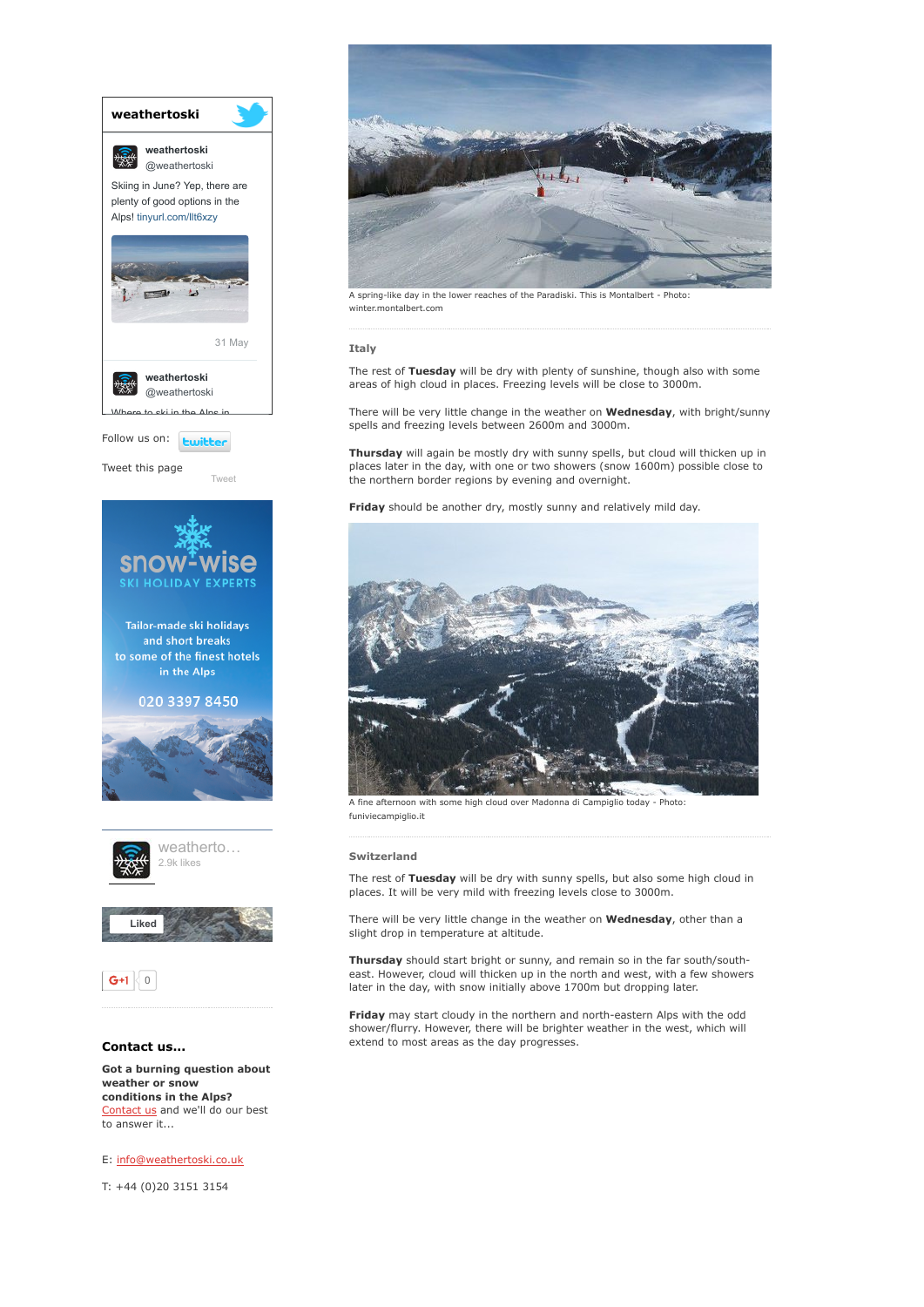

E: [info@weathertoski.co.uk](mailto:fraser@weathertoski.co.uk)

T: +44 (0)20 3151 3154



A spring-like day in the lower reaches of the Paradiski. This is Montalbert - Photo winter.montalbert.com

#### Italy

The rest of Tuesday will be dry with plenty of sunshine, though also with some areas of high cloud in places. Freezing levels will be close to 3000m.

There will be very little change in the weather on Wednesday, with bright/sunny spells and freezing levels between 2600m and 3000m.

Thursday will again be mostly dry with sunny spells, but cloud will thicken up in places later in the day, with one or two showers (snow 1600m) possible close to the northern border regions by evening and overnight.

Friday should be another dry, mostly sunny and relatively mild day.



A fine afternoon with some high cloud over Madonna di Campiglio today Photo: funiviecampiglio.it

### Switzerland

The rest of Tuesday will be dry with sunny spells, but also some high cloud in places. It will be very mild with freezing levels close to 3000m.

There will be very little change in the weather on **Wednesday**, other than a slight drop in temperature at altitude.

Thursday should start bright or sunny, and remain so in the far south/southeast. However, cloud will thicken up in the north and west, with a few showers later in the day, with snow initially above 1700m but dropping later.

Friday may start cloudy in the northern and north-eastern Alps with the odd shower/flurry. However, there will be brighter weather in the west, which will extend to most areas as the day progresses.